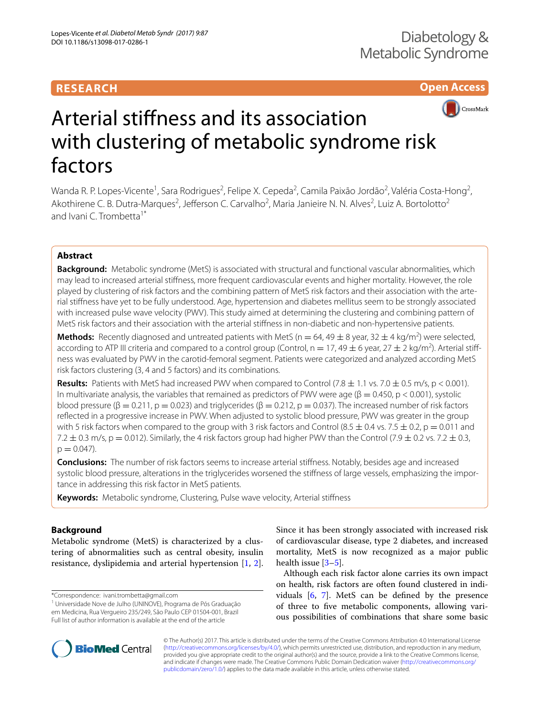# **RESEARCH**

# **Open Access**



# Arterial stifness and its association with clustering of metabolic syndrome risk factors

Wanda R. P. Lopes-Vicente<sup>1</sup>, Sara Rodrigues<sup>2</sup>, Felipe X. Cepeda<sup>2</sup>, Camila Paixão Jordão<sup>2</sup>, Valéria Costa-Hong<sup>2</sup>, Akothirene C. B. Dutra-Marques<sup>2</sup>, Jefferson C. Carvalho<sup>2</sup>, Maria Janieire N. N. Alves<sup>2</sup>, Luiz A. Bortolotto<sup>2</sup> and Ivani C. Trombetta<sup>1\*</sup>

# **Abstract**

**Background:** Metabolic syndrome (MetS) is associated with structural and functional vascular abnormalities, which may lead to increased arterial stifness, more frequent cardiovascular events and higher mortality. However, the role played by clustering of risk factors and the combining pattern of MetS risk factors and their association with the arterial stifness have yet to be fully understood. Age, hypertension and diabetes mellitus seem to be strongly associated with increased pulse wave velocity (PWV). This study aimed at determining the clustering and combining pattern of MetS risk factors and their association with the arterial stifness in non-diabetic and non-hypertensive patients.

**Methods:** Recently diagnosed and untreated patients with MetS ( $n = 64$ , 49  $\pm$  8 year, 32  $\pm$  4 kg/m<sup>2</sup>) were selected, according to ATP III criteria and compared to a control group (Control, n = 17, 49  $\pm$  6 year, 27  $\pm$  2 kg/m<sup>2</sup>). Arterial stiffness was evaluated by PWV in the carotid-femoral segment. Patients were categorized and analyzed according MetS risk factors clustering (3, 4 and 5 factors) and its combinations.

Results: Patients with MetS had increased PWV when compared to Control (7.8  $\pm$  1.1 vs. 7.0  $\pm$  0.5 m/s, p < 0.001). In multivariate analysis, the variables that remained as predictors of PWV were age ( $\beta = 0.450$ , p < 0.001), systolic blood pressure ( $\beta = 0.211$ , p = 0.023) and triglycerides ( $\beta = 0.212$ , p = 0.037). The increased number of risk factors refected in a progressive increase in PWV. When adjusted to systolic blood pressure, PWV was greater in the group with 5 risk factors when compared to the group with 3 risk factors and Control (8.5  $\pm$  0.4 vs. 7.5  $\pm$  0.2, p = 0.011 and 7.2  $\pm$  0.3 m/s, p = 0.012). Similarly, the 4 risk factors group had higher PWV than the Control (7.9  $\pm$  0.2 vs. 7.2  $\pm$  0.3,  $p = 0.047$ ).

**Conclusions:** The number of risk factors seems to increase arterial stifness. Notably, besides age and increased systolic blood pressure, alterations in the triglycerides worsened the stiffness of large vessels, emphasizing the importance in addressing this risk factor in MetS patients.

**Keywords:** Metabolic syndrome, Clustering, Pulse wave velocity, Arterial stifness

# **Background**

Metabolic syndrome (MetS) is characterized by a clustering of abnormalities such as central obesity, insulin resistance, dyslipidemia and arterial hypertension [[1,](#page-6-0) [2](#page-6-1)].

\*Correspondence: ivani.trombetta@gmail.com

<sup>1</sup> Universidade Nove de Julho (UNINOVE), Programa de Pós Graduação em Medicina, Rua Vergueiro 235/249, São Paulo CEP 01504-001, Brazil Full list of author information is available at the end of the article

Since it has been strongly associated with increased risk of cardiovascular disease, type 2 diabetes, and increased mortality, MetS is now recognized as a major public health issue [\[3](#page-6-2)–[5\]](#page-6-3).

Although each risk factor alone carries its own impact on health, risk factors are often found clustered in individuals [\[6](#page-6-4), [7\]](#page-6-5). MetS can be defned by the presence of three to fve metabolic components, allowing various possibilities of combinations that share some basic



© The Author(s) 2017. This article is distributed under the terms of the Creative Commons Attribution 4.0 International License [\(http://creativecommons.org/licenses/by/4.0/\)](http://creativecommons.org/licenses/by/4.0/), which permits unrestricted use, distribution, and reproduction in any medium, provided you give appropriate credit to the original author(s) and the source, provide a link to the Creative Commons license, and indicate if changes were made. The Creative Commons Public Domain Dedication waiver ([http://creativecommons.org/](http://creativecommons.org/publicdomain/zero/1.0/) [publicdomain/zero/1.0/](http://creativecommons.org/publicdomain/zero/1.0/)) applies to the data made available in this article, unless otherwise stated.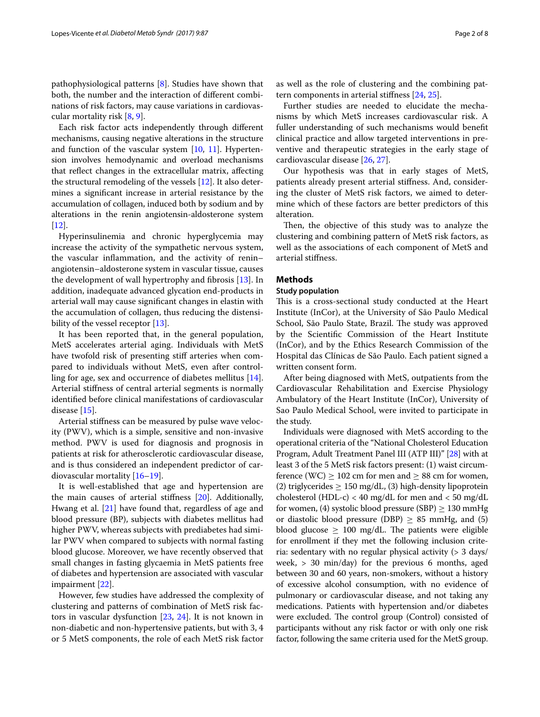pathophysiological patterns [\[8](#page-6-6)]. Studies have shown that both, the number and the interaction of diferent combinations of risk factors, may cause variations in cardiovascular mortality risk [[8](#page-6-6), [9\]](#page-6-7).

Each risk factor acts independently through diferent mechanisms, causing negative alterations in the structure and function of the vascular system [[10,](#page-6-8) [11](#page-6-9)]. Hypertension involves hemodynamic and overload mechanisms that refect changes in the extracellular matrix, afecting the structural remodeling of the vessels [[12](#page-6-10)]. It also determines a signifcant increase in arterial resistance by the accumulation of collagen, induced both by sodium and by alterations in the renin angiotensin-aldosterone system [[12\]](#page-6-10).

Hyperinsulinemia and chronic hyperglycemia may increase the activity of the sympathetic nervous system, the vascular infammation, and the activity of renin– angiotensin–aldosterone system in vascular tissue, causes the development of wall hypertrophy and fbrosis [\[13\]](#page-6-11). In addition, inadequate advanced glycation end-products in arterial wall may cause signifcant changes in elastin with the accumulation of collagen, thus reducing the distensi-bility of the vessel receptor [\[13](#page-6-11)].

It has been reported that, in the general population, MetS accelerates arterial aging. Individuals with MetS have twofold risk of presenting stiff arteries when compared to individuals without MetS, even after controlling for age, sex and occurrence of diabetes mellitus [\[14](#page-6-12)]. Arterial stifness of central arterial segments is normally identifed before clinical manifestations of cardiovascular disease [\[15](#page-6-13)].

Arterial stifness can be measured by pulse wave velocity (PWV), which is a simple, sensitive and non-invasive method. PWV is used for diagnosis and prognosis in patients at risk for atherosclerotic cardiovascular disease, and is thus considered an independent predictor of cardiovascular mortality [\[16](#page-6-14)–[19\]](#page-6-15).

It is well-established that age and hypertension are the main causes of arterial stifness [\[20](#page-6-16)]. Additionally, Hwang et al. [[21](#page-6-17)] have found that, regardless of age and blood pressure (BP), subjects with diabetes mellitus had higher PWV, whereas subjects with prediabetes had similar PWV when compared to subjects with normal fasting blood glucose. Moreover, we have recently observed that small changes in fasting glycaemia in MetS patients free of diabetes and hypertension are associated with vascular impairment [[22](#page-6-18)].

However, few studies have addressed the complexity of clustering and patterns of combination of MetS risk factors in vascular dysfunction [[23,](#page-6-19) [24](#page-6-20)]. It is not known in non-diabetic and non-hypertensive patients, but with 3, 4 or 5 MetS components, the role of each MetS risk factor as well as the role of clustering and the combining pattern components in arterial stifness [[24](#page-6-20), [25\]](#page-6-21).

Further studies are needed to elucidate the mechanisms by which MetS increases cardiovascular risk. A fuller understanding of such mechanisms would beneft clinical practice and allow targeted interventions in preventive and therapeutic strategies in the early stage of cardiovascular disease [\[26](#page-6-22), [27](#page-6-23)].

Our hypothesis was that in early stages of MetS, patients already present arterial stifness. And, considering the cluster of MetS risk factors, we aimed to determine which of these factors are better predictors of this alteration.

Then, the objective of this study was to analyze the clustering and combining pattern of MetS risk factors, as well as the associations of each component of MetS and arterial stifness.

# **Methods**

# **Study population**

This is a cross-sectional study conducted at the Heart Institute (InCor), at the University of São Paulo Medical School, São Paulo State, Brazil. The study was approved by the Scientifc Commission of the Heart Institute (InCor), and by the Ethics Research Commission of the Hospital das Clínicas de São Paulo. Each patient signed a written consent form.

After being diagnosed with MetS, outpatients from the Cardiovascular Rehabilitation and Exercise Physiology Ambulatory of the Heart Institute (InCor), University of Sao Paulo Medical School, were invited to participate in the study.

Individuals were diagnosed with MetS according to the operational criteria of the "National Cholesterol Education Program, Adult Treatment Panel III (ATP III)" [[28](#page-7-0)] with at least 3 of the 5 MetS risk factors present: (1) waist circumference (WC)  $\geq$  102 cm for men and  $\geq$  88 cm for women, (2) triglycerides  $\geq 150 \text{ mg/dL}$ , (3) high-density lipoprotein cholesterol (HDL-c) < 40 mg/dL for men and < 50 mg/dL for women, (4) systolic blood pressure (SBP)  $\geq$  130 mmHg or diastolic blood pressure (DBP)  $\geq$  85 mmHg, and (5) blood glucose  $\geq 100 \text{ mg/dL}$ . The patients were eligible for enrollment if they met the following inclusion criteria: sedentary with no regular physical activity (> 3 days/ week, > 30 min/day) for the previous 6 months, aged between 30 and 60 years, non-smokers, without a history of excessive alcohol consumption, with no evidence of pulmonary or cardiovascular disease, and not taking any medications. Patients with hypertension and/or diabetes were excluded. The control group (Control) consisted of participants without any risk factor or with only one risk factor, following the same criteria used for the MetS group.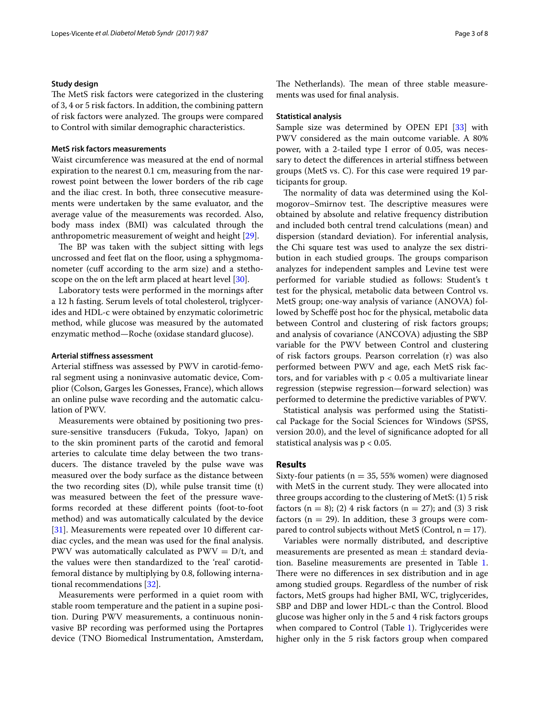### **Study design**

The MetS risk factors were categorized in the clustering of 3, 4 or 5 risk factors. In addition, the combining pattern of risk factors were analyzed. The groups were compared to Control with similar demographic characteristics.

## **MetS risk factors measurements**

Waist circumference was measured at the end of normal expiration to the nearest 0.1 cm, measuring from the narrowest point between the lower borders of the rib cage and the iliac crest. In both, three consecutive measurements were undertaken by the same evaluator, and the average value of the measurements was recorded. Also, body mass index (BMI) was calculated through the anthropometric measurement of weight and height [[29\]](#page-7-1).

The BP was taken with the subject sitting with legs uncrossed and feet flat on the floor, using a sphygmomanometer (cuff according to the arm size) and a stetho-scope on the on the left arm placed at heart level [[30\]](#page-7-2).

Laboratory tests were performed in the mornings after a 12 h fasting. Serum levels of total cholesterol, triglycerides and HDL-c were obtained by enzymatic colorimetric method, while glucose was measured by the automated enzymatic method—Roche (oxidase standard glucose).

## **Arterial stifness assessment**

Arterial stifness was assessed by PWV in carotid-femoral segment using a noninvasive automatic device, Complior (Colson, Garges les Gonesses, France), which allows an online pulse wave recording and the automatic calculation of PWV.

Measurements were obtained by positioning two pressure-sensitive transducers (Fukuda, Tokyo, Japan) on to the skin prominent parts of the carotid and femoral arteries to calculate time delay between the two transducers. The distance traveled by the pulse wave was measured over the body surface as the distance between the two recording sites (D), while pulse transit time (t) was measured between the feet of the pressure waveforms recorded at these diferent points (foot-to-foot method) and was automatically calculated by the device [[31\]](#page-7-3). Measurements were repeated over 10 different cardiac cycles, and the mean was used for the fnal analysis. PWV was automatically calculated as  $PWV = D/t$ , and the values were then standardized to the 'real' carotidfemoral distance by multiplying by 0.8, following international recommendations [\[32\]](#page-7-4).

Measurements were performed in a quiet room with stable room temperature and the patient in a supine position. During PWV measurements, a continuous noninvasive BP recording was performed using the Portapres device (TNO Biomedical Instrumentation, Amsterdam, The Netherlands). The mean of three stable measurements was used for fnal analysis.

## **Statistical analysis**

Sample size was determined by OPEN EPI [\[33](#page-7-5)] with PWV considered as the main outcome variable. A 80% power, with a 2-tailed type I error of 0.05, was necessary to detect the diferences in arterial stifness between groups (MetS vs. C). For this case were required 19 participants for group.

The normality of data was determined using the Kolmogorov–Smirnov test. The descriptive measures were obtained by absolute and relative frequency distribution and included both central trend calculations (mean) and dispersion (standard deviation). For inferential analysis, the Chi square test was used to analyze the sex distribution in each studied groups. The groups comparison analyzes for independent samples and Levine test were performed for variable studied as follows: Student's t test for the physical, metabolic data between Control vs. MetS group; one-way analysis of variance (ANOVA) followed by Schefé post hoc for the physical, metabolic data between Control and clustering of risk factors groups; and analysis of covariance (ANCOVA) adjusting the SBP variable for the PWV between Control and clustering of risk factors groups. Pearson correlation (r) was also performed between PWV and age, each MetS risk factors, and for variables with  $p < 0.05$  a multivariate linear regression (stepwise regression—forward selection) was performed to determine the predictive variables of PWV.

Statistical analysis was performed using the Statistical Package for the Social Sciences for Windows (SPSS, version 20.0), and the level of signifcance adopted for all statistical analysis was  $p < 0.05$ .

# **Results**

Sixty-four patients ( $n = 35, 55\%$  women) were diagnosed with MetS in the current study. They were allocated into three groups according to the clustering of MetS: (1) 5 risk factors  $(n = 8)$ ; (2) 4 risk factors  $(n = 27)$ ; and (3) 3 risk factors ( $n = 29$ ). In addition, these 3 groups were compared to control subjects without MetS (Control,  $n = 17$ ).

Variables were normally distributed, and descriptive measurements are presented as mean  $\pm$  standard deviation. Baseline measurements are presented in Table [1](#page-3-0). There were no differences in sex distribution and in age among studied groups. Regardless of the number of risk factors, MetS groups had higher BMI, WC, triglycerides, SBP and DBP and lower HDL-c than the Control. Blood glucose was higher only in the 5 and 4 risk factors groups when compared to Control (Table [1](#page-3-0)). Triglycerides were higher only in the 5 risk factors group when compared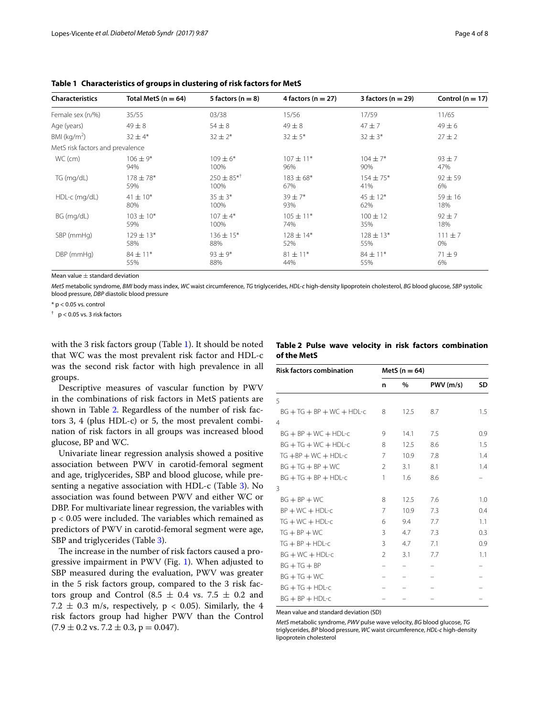| <b>Characteristics</b>           | Total MetS $(n = 64)$ | 5 factors ( $n = 8$ ) | 4 factors ( $n = 27$ ) | 3 factors ( $n = 29$ ) | Control ( $n = 17$ ) |
|----------------------------------|-----------------------|-----------------------|------------------------|------------------------|----------------------|
| Female sex (n/%)                 | 35/55                 | 03/38                 | 15/56                  | 17/59                  | 11/65                |
| Age (years)                      | $49 \pm 8$            | $54 \pm 8$            | $49 \pm 8$             | $47 + 7$               | $49 \pm 6$           |
| BMI ( $kg/m2$ )                  | $32 \pm 4*$           | $32 \pm 2*$           | $32 \pm 5^*$           | $32 \pm 3*$            | $27 \pm 2$           |
| MetS risk factors and prevalence |                       |                       |                        |                        |                      |
| WC (cm)                          | $106 \pm 9*$          | $109 \pm 6*$          | $107 \pm 11*$          | $104 + 7*$             | $93 + 7$             |
|                                  | 94%                   | 100%                  | 96%                    | 90%                    | 47%                  |
| TG (mg/dL)                       | $178 \pm 78*$         | $250 \pm 85^{*+}$     | $183 \pm 68*$          | $154 \pm 75*$          | $92 \pm 59$          |
|                                  | 59%                   | 100%                  | 67%                    | 41%                    | 6%                   |
| HDL-c (mg/dL)                    | $41 \pm 10^{*}$       | $35 \pm 3*$           | $39 \pm 7*$            | $45 \pm 12*$           | $59 \pm 16$          |
|                                  | 80%                   | 100%                  | 93%                    | 62%                    | 18%                  |
| BG (mg/dL)                       | $103 \pm 10*$         | $107 + 4*$            | $105 \pm 11*$          | $100 \pm 12$           | $92 + 7$             |
|                                  | 59%                   | 100%                  | 74%                    | 35%                    | 18%                  |
| SBP (mmHg)                       | $129 \pm 13*$         | $136 \pm 15*$         | $128 \pm 14*$          | $128 \pm 13*$          | $111 \pm 7$          |
|                                  | 58%                   | 88%                   | 52%                    | 55%                    | 0%                   |
| DBP (mmHg)                       | $84 \pm 11*$          | $93 \pm 9*$           | $81 \pm 11*$           | $84 \pm 11*$           | $71 + 9$             |
|                                  | 55%                   | 88%                   | 44%                    | 55%                    | 6%                   |

<span id="page-3-0"></span>**Table 1 Characteristics of groups in clustering of risk factors for MetS**

Mean value ± standard deviation

*MetS* metabolic syndrome, *BMI* body mass index, *WC* waist circumference, *TG* triglycerides, *HDL-c* high-density lipoprotein cholesterol, *BG* blood glucose, *SBP* systolic blood pressure, *DBP* diastolic blood pressure

 $*$  p < 0.05 vs. control

 $\dagger$  p < 0.05 vs. 3 risk factors

with the 3 risk factors group (Table [1](#page-3-0)). It should be noted that WC was the most prevalent risk factor and HDL-c was the second risk factor with high prevalence in all groups.

Descriptive measures of vascular function by PWV in the combinations of risk factors in MetS patients are shown in Table [2.](#page-3-1) Regardless of the number of risk factors 3, 4 (plus HDL-c) or 5, the most prevalent combination of risk factors in all groups was increased blood glucose, BP and WC.

Univariate linear regression analysis showed a positive association between PWV in carotid-femoral segment and age, triglycerides, SBP and blood glucose, while presenting a negative association with HDL-c (Table [3](#page-4-0)). No association was found between PWV and either WC or DBP. For multivariate linear regression, the variables with  $p < 0.05$  were included. The variables which remained as predictors of PWV in carotid-femoral segment were age, SBP and triglycerides (Table [3](#page-4-0)).

The increase in the number of risk factors caused a progressive impairment in PWV (Fig. [1](#page-4-1)). When adjusted to SBP measured during the evaluation, PWV was greater in the 5 risk factors group, compared to the 3 risk factors group and Control (8.5  $\pm$  0.4 vs. 7.5  $\pm$  0.2 and 7.2  $\pm$  0.3 m/s, respectively, p < 0.05). Similarly, the 4 risk factors group had higher PWV than the Control  $(7.9 \pm 0.2 \text{ vs. } 7.2 \pm 0.3, \text{ p} = 0.047).$ 

<span id="page-3-1"></span>

|             |  |  |  | Table 2 Pulse wave velocity in risk factors combination |
|-------------|--|--|--|---------------------------------------------------------|
| of the MetS |  |  |  |                                                         |

| <b>Risk factors combination</b> | MetS $(n = 64)$ |      |           |     |  |  |
|---------------------------------|-----------------|------|-----------|-----|--|--|
|                                 | n               | %    | PWV (m/s) | SD  |  |  |
| 5                               |                 |      |           |     |  |  |
| $BG + TG + BP + WC + HDL-c$     | 8               | 12.5 | 8.7       | 1.5 |  |  |
| 4                               |                 |      |           |     |  |  |
| $BG + BP + WC + HDL-c$          | 9               | 14.1 | 7.5       | 0.9 |  |  |
| $BG + TG + WC + HDL-c$          | 8               | 12.5 | 8.6       | 1.5 |  |  |
| $TG + BP + WC + HDL-c$          | 7               | 10.9 | 7.8       | 1.4 |  |  |
| $BG + TG + BP + WC$             | 2               | 3.1  | 8.1       | 1.4 |  |  |
| $BG + TG + BP + HDL-c$          | 1               | 1.6  | 8.6       |     |  |  |
| 3                               |                 |      |           |     |  |  |
| $BG + BP + WC$                  | 8               | 12.5 | 7.6       | 1.0 |  |  |
| $BP + WC + HDL-c$               | 7               | 10.9 | 7.3       | 0.4 |  |  |
| $TG + WC + HDL-c$               | 6               | 9.4  | 7.7       | 1.1 |  |  |
| $TG + BP + WC$                  | 3               | 4.7  | 7.3       | 0.3 |  |  |
| $TG + BP + HDL-c$               | 3               | 4.7  | 7.1       | 0.9 |  |  |
| $BG + WC + HDL-c$               | 2               | 3.1  | 7.7       | 1.1 |  |  |
| $BG + TG + BP$                  |                 |      |           |     |  |  |
| $BG + TG + WC$                  |                 |      |           |     |  |  |
| $BG + TG + HDL-c$               |                 |      |           |     |  |  |
| $BG + BP + HDL-c$               |                 |      |           |     |  |  |

Mean value and standard deviation (SD)

*MetS* metabolic syndrome, *PWV* pulse wave velocity, *BG* blood glucose, *TG* triglycerides, *BP* blood pressure, *WC* waist circumference, *HDL-c* high-density lipoprotein cholesterol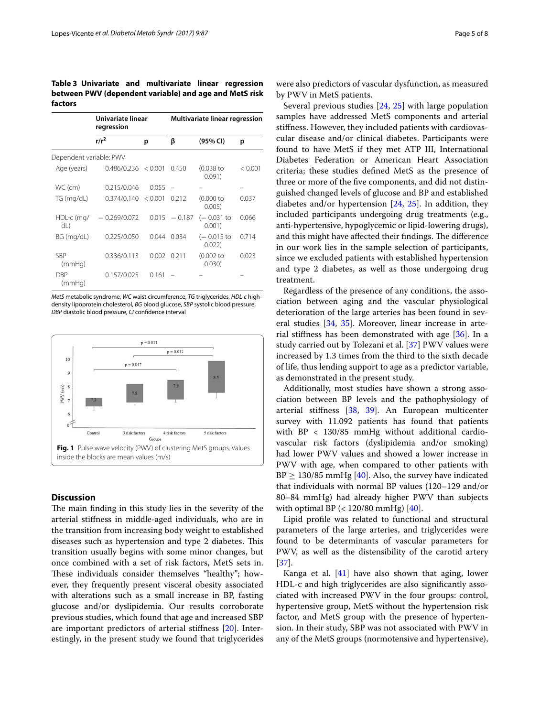<span id="page-4-0"></span>**Table 3 Univariate and multivariate linear regression between PWV (dependent variable) and age and MetS risk factors**

|                         | Univariate linear<br>regression |       | <b>Multivariate linear regression</b> |                         |         |  |
|-------------------------|---------------------------------|-------|---------------------------------------|-------------------------|---------|--|
|                         | $r/r^2$                         | p     | ß                                     | (95% CI)                | p       |  |
| Dependent variable: PWV |                                 |       |                                       |                         |         |  |
| Age (years)             | 0.486/0.236 < 0.001             |       | 0.450                                 | $(0.038)$ to<br>0.091)  | < 0.001 |  |
| WC (cm)                 | 0.215/0.046                     | 0.055 |                                       |                         |         |  |
| TG (mg/dL)              | 0.374/0.140 < 0.001             |       | 0.212                                 | (0.000 to<br>0.005      | 0.037   |  |
| $HDL-c$ (mg/<br>dL      | $-0.269/0.072$                  |       | $0.015 - 0.187$                       | $(-0.031)$ to<br>0.001) | 0.066   |  |
| BG (mg/dL)              | 0.225/0.050                     | 0.044 | 0.034                                 | $(-0.015$ to<br>0.022)  | 0.714   |  |
| <b>SBP</b><br>(mmHq)    | 0.336/0.113                     |       | $0.002$ $0.211$                       | $(0.002)$ to<br>0.030)  | 0.023   |  |
| <b>DBP</b><br>(mmHq)    | 0.157/0.025                     | 0.161 |                                       |                         |         |  |

*MetS* metabolic syndrome, *WC* waist circumference, *TG* triglycerides, *HDL-c* highdensity lipoprotein cholesterol, *BG* blood glucose, *SBP* systolic blood pressure, *DBP* diastolic blood pressure, *CI* confdence interval



# <span id="page-4-1"></span>**Discussion**

The main finding in this study lies in the severity of the arterial stifness in middle-aged individuals, who are in the transition from increasing body weight to established diseases such as hypertension and type 2 diabetes. This transition usually begins with some minor changes, but once combined with a set of risk factors, MetS sets in. These individuals consider themselves "healthy"; however, they frequently present visceral obesity associated with alterations such as a small increase in BP, fasting glucose and/or dyslipidemia. Our results corroborate previous studies, which found that age and increased SBP are important predictors of arterial stifness [\[20](#page-6-16)]. Interestingly, in the present study we found that triglycerides

were also predictors of vascular dysfunction, as measured by PWV in MetS patients.

Several previous studies [\[24](#page-6-20), [25](#page-6-21)] with large population samples have addressed MetS components and arterial stifness. However, they included patients with cardiovascular disease and/or clinical diabetes. Participants were found to have MetS if they met ATP III, International Diabetes Federation or American Heart Association criteria; these studies defned MetS as the presence of three or more of the fve components, and did not distinguished changed levels of glucose and BP and established diabetes and/or hypertension [[24,](#page-6-20) [25](#page-6-21)]. In addition, they included participants undergoing drug treatments (e.g., anti-hypertensive, hypoglycemic or lipid-lowering drugs), and this might have affected their findings. The difference in our work lies in the sample selection of participants, since we excluded patients with established hypertension and type 2 diabetes, as well as those undergoing drug treatment.

Regardless of the presence of any conditions, the association between aging and the vascular physiological deterioration of the large arteries has been found in several studies [[34,](#page-7-6) [35\]](#page-7-7). Moreover, linear increase in arterial stifness has been demonstrated with age [[36\]](#page-7-8). In a study carried out by Tolezani et al. [[37\]](#page-7-9) PWV values were increased by 1.3 times from the third to the sixth decade of life, thus lending support to age as a predictor variable, as demonstrated in the present study.

Additionally, most studies have shown a strong association between BP levels and the pathophysiology of arterial stifness [\[38](#page-7-10), [39](#page-7-11)]. An European multicenter survey with 11.092 patients has found that patients with  $BP < 130/85$  mmHg without additional cardiovascular risk factors (dyslipidemia and/or smoking) had lower PWV values and showed a lower increase in PWV with age, when compared to other patients with  $BP \geq 130/85$  mmHg [[40](#page-7-12)]. Also, the survey have indicated that individuals with normal BP values (120–129 and/or 80–84 mmHg) had already higher PWV than subjects with optimal BP (< 120/80 mmHg) [[40\]](#page-7-12).

Lipid profle was related to functional and structural parameters of the large arteries, and triglycerides were found to be determinants of vascular parameters for PWV, as well as the distensibility of the carotid artery [[37\]](#page-7-9).

Kanga et al. [[41](#page-7-13)] have also shown that aging, lower HDL-c and high triglycerides are also signifcantly associated with increased PWV in the four groups: control, hypertensive group, MetS without the hypertension risk factor, and MetS group with the presence of hypertension. In their study, SBP was not associated with PWV in any of the MetS groups (normotensive and hypertensive),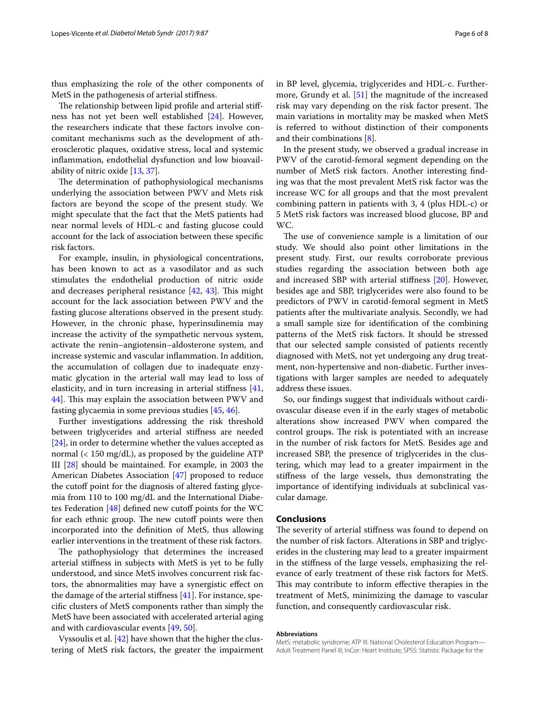thus emphasizing the role of the other components of MetS in the pathogenesis of arterial stifness.

The relationship between lipid profile and arterial stiffness has not yet been well established [\[24\]](#page-6-20). However, the researchers indicate that these factors involve concomitant mechanisms such as the development of atherosclerotic plaques, oxidative stress, local and systemic infammation, endothelial dysfunction and low bioavailability of nitric oxide [[13,](#page-6-11) [37\]](#page-7-9).

The determination of pathophysiological mechanisms underlying the association between PWV and Mets risk factors are beyond the scope of the present study. We might speculate that the fact that the MetS patients had near normal levels of HDL-c and fasting glucose could account for the lack of association between these specifc risk factors.

For example, insulin, in physiological concentrations, has been known to act as a vasodilator and as such stimulates the endothelial production of nitric oxide and decreases peripheral resistance  $[42, 43]$  $[42, 43]$  $[42, 43]$ . This might account for the lack association between PWV and the fasting glucose alterations observed in the present study. However, in the chronic phase, hyperinsulinemia may increase the activity of the sympathetic nervous system, activate the renin–angiotensin–aldosterone system, and increase systemic and vascular infammation. In addition, the accumulation of collagen due to inadequate enzymatic glycation in the arterial wall may lead to loss of elasticity, and in turn increasing in arterial stifness [\[41](#page-7-13), [44\]](#page-7-16). This may explain the association between PWV and fasting glycaemia in some previous studies [\[45](#page-7-17), [46](#page-7-18)].

Further investigations addressing the risk threshold between triglycerides and arterial stifness are needed [[24\]](#page-6-20), in order to determine whether the values accepted as normal (< 150 mg/dL), as proposed by the guideline ATP III [\[28](#page-7-0)] should be maintained. For example, in 2003 the American Diabetes Association [\[47](#page-7-19)] proposed to reduce the cutoff point for the diagnosis of altered fasting glycemia from 110 to 100 mg/dL and the International Diabetes Federation  $[48]$  defined new cutoff points for the WC for each ethnic group. The new cutoff points were then incorporated into the defnition of MetS, thus allowing earlier interventions in the treatment of these risk factors.

The pathophysiology that determines the increased arterial stifness in subjects with MetS is yet to be fully understood, and since MetS involves concurrent risk factors, the abnormalities may have a synergistic efect on the damage of the arterial stiffness  $[41]$  $[41]$ . For instance, specifc clusters of MetS components rather than simply the MetS have been associated with accelerated arterial aging and with cardiovascular events [\[49](#page-7-21), [50](#page-7-22)].

Vyssoulis et al. [\[42\]](#page-7-14) have shown that the higher the clustering of MetS risk factors, the greater the impairment in BP level, glycemia, triglycerides and HDL-c. Further-more, Grundy et al. [[51\]](#page-7-23) the magnitude of the increased risk may vary depending on the risk factor present. The main variations in mortality may be masked when MetS is referred to without distinction of their components and their combinations [\[8](#page-6-6)].

In the present study, we observed a gradual increase in PWV of the carotid-femoral segment depending on the number of MetS risk factors. Another interesting fnding was that the most prevalent MetS risk factor was the increase WC for all groups and that the most prevalent combining pattern in patients with 3, 4 (plus HDL-c) or 5 MetS risk factors was increased blood glucose, BP and WC.

The use of convenience sample is a limitation of our study. We should also point other limitations in the present study. First, our results corroborate previous studies regarding the association between both age and increased SBP with arterial stifness [\[20](#page-6-16)]. However, besides age and SBP, triglycerides were also found to be predictors of PWV in carotid-femoral segment in MetS patients after the multivariate analysis. Secondly, we had a small sample size for identifcation of the combining patterns of the MetS risk factors. It should be stressed that our selected sample consisted of patients recently diagnosed with MetS, not yet undergoing any drug treatment, non-hypertensive and non-diabetic. Further investigations with larger samples are needed to adequately address these issues.

So, our fndings suggest that individuals without cardiovascular disease even if in the early stages of metabolic alterations show increased PWV when compared the control groups. The risk is potentiated with an increase in the number of risk factors for MetS. Besides age and increased SBP, the presence of triglycerides in the clustering, which may lead to a greater impairment in the stifness of the large vessels, thus demonstrating the importance of identifying individuals at subclinical vascular damage.

## **Conclusions**

The severity of arterial stiffness was found to depend on the number of risk factors. Alterations in SBP and triglycerides in the clustering may lead to a greater impairment in the stifness of the large vessels, emphasizing the relevance of early treatment of these risk factors for MetS. This may contribute to inform effective therapies in the treatment of MetS, minimizing the damage to vascular function, and consequently cardiovascular risk.

#### **Abbreviations**

MetS: metabolic syndrome; ATP III: National Cholesterol Education Program— Adult Treatment Panel III; InCor: Heart Institute; SPSS: Statistic Package for the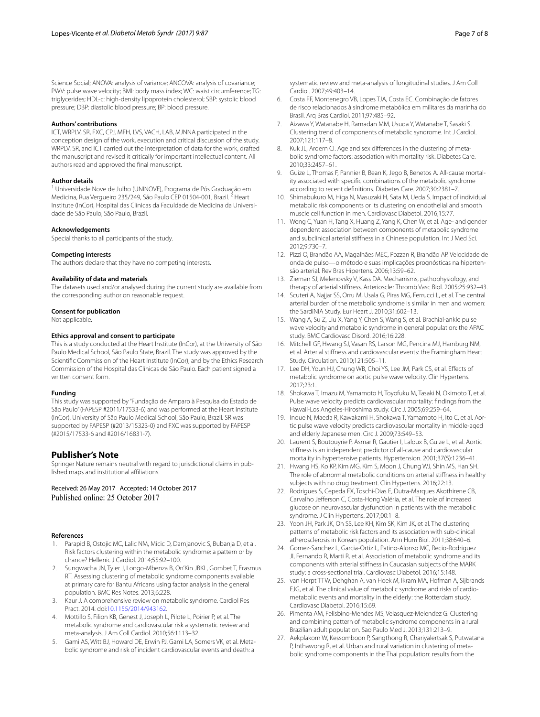Science Social; ANOVA: analysis of variance; ANCOVA: analysis of covariance; PWV: pulse wave velocity; BMI: body mass index; WC: waist circumference; TG: triglycerides; HDL-c: high-density lipoprotein cholesterol; SBP: systolic blood pressure; DBP: diastolic blood pressure; BP: blood pressure.

#### **Authors' contributions**

ICT, WRPLV, SR, FXC, CPJ, MFH, LVS, VACH, LAB, MJNNA participated in the conception design of the work, execution and critical discussion of the study. WRPLV, SR, and ICT carried out the interpretation of data for the work, drafted the manuscript and revised it critically for important intellectual content. All authors read and approved the fnal manuscript.

#### **Author details**

<sup>1</sup> Universidade Nove de Julho (UNINOVE), Programa de Pós Graduação em Medicina, Rua Vergueiro 235/249, São Paulo CEP 01504‑001, Brazil. 2 Heart Institute (InCor), Hospital das Clínicas da Faculdade de Medicina da Universidade de São Paulo, São Paulo, Brazil.

#### **Acknowledgements**

Special thanks to all participants of the study.

#### **Competing interests**

The authors declare that they have no competing interests.

#### **Availability of data and materials**

The datasets used and/or analysed during the current study are available from the corresponding author on reasonable request.

#### **Consent for publication**

Not applicable.

#### **Ethics approval and consent to participate**

This is a study conducted at the Heart Institute (InCor), at the University of São Paulo Medical School, São Paulo State, Brazil. The study was approved by the Scientifc Commission of the Heart Institute (InCor), and by the Ethics Research Commission of the Hospital das Clínicas de São Paulo. Each patient signed a written consent form.

#### **Funding**

This study was supported by "Fundação de Amparo à Pesquisa do Estado de São Paulo" (FAPESP #2011/17533-6) and was performed at the Heart Institute (InCor), University of São Paulo Medical School, São Paulo, Brazil. SR was supported by FAPESP (#2013/15323-0) and FXC was supported by FAPESP (#2015/17533-6 and #2016/16831-7).

## **Publisher's Note**

Springer Nature remains neutral with regard to jurisdictional claims in published maps and institutional afliations.

## Received: 26 May 2017 Accepted: 14 October 2017 Published online: 25 October 2017

#### **References**

- <span id="page-6-0"></span>1. Parapid B, Ostojic MC, Lalic NM, Micic D, Damjanovic S, Bubanja D, et al. Risk factors clustering within the metabolic syndrome: a pattern or by chance? Hellenic J Cardiol. 2014;55:92–100.
- <span id="page-6-1"></span>2. Sungwacha JN, Tyler J, Longo-Mbenza B, On'Kin JBKL, Gombet T, Erasmus RT. Assessing clustering of metabolic syndrome components available at primary care for Bantu Africans using factor analysis in the general population. BMC Res Notes. 2013;6:228.
- <span id="page-6-2"></span>3. Kaur J. A comprehensive review on metabolic syndrome. Cardiol Res Pract. 2014. doi[:10.1155/2014/943162](http://dx.doi.org/10.1155/2014/943162).
- 4. Mottillo S, Filion KB, Genest J, Joseph L, Pilote L, Poirier P, et al. The metabolic syndrome and cardiovascular risk a systematic review and meta-analysis. J Am Coll Cardiol. 2010;56:1113–32.
- <span id="page-6-3"></span>5. Gami AS, Witt BJ, Howard DE, Erwin PJ, Gami LA, Somers VK, et al. Metabolic syndrome and risk of incident cardiovascular events and death: a
- <span id="page-6-4"></span>6. Costa FF, Montenegro VB, Lopes TJA, Costa EC. Combinação de fatores de risco relacionados à síndrome metabólica em militares da marinha do Brasil. Arq Bras Cardiol. 2011;97:485–92.
- <span id="page-6-5"></span>7. Aizawa Y, Watanabe H, Ramadan MM, Usuda Y, Watanabe T, Sasaki S. Clustering trend of components of metabolic syndrome. Int J Cardiol. 2007;121:117–8.
- <span id="page-6-6"></span>8. Kuk JL, Ardern CI. Age and sex differences in the clustering of metabolic syndrome factors: association with mortality risk. Diabetes Care. 2010;33:2457–61.
- <span id="page-6-7"></span>9. Guize L, Thomas F, Pannier B, Bean K, Jego B, Benetos A. All-cause mortality associated with specifc combinations of the metabolic syndrome according to recent defnitions. Diabetes Care. 2007;30:2381–7.
- <span id="page-6-8"></span>10. Shimabukuro M, Higa N, Masuzaki H, Sata M, Ueda S. Impact of individual metabolic risk components or its clustering on endothelial and smooth muscle cell function in men. Cardiovasc Diabetol. 2016;15:77.
- <span id="page-6-9"></span>11. Weng C, Yuan H, Tang X, Huang Z, Yang K, Chen W, et al. Age- and gender dependent association between components of metabolic syndrome and subclinical arterial stifness in a Chinese population. Int J Med Sci. 2012;9:730–7.
- <span id="page-6-10"></span>12. Pizzi O, Brandão AA, Magalhães MEC, Pozzan R, Brandão AP. Velocidade de onda de pulso—o método e suas implicações prognósticas na hipertensão arterial. Rev Bras Hipertens. 2006;13:59–62.
- <span id="page-6-11"></span>13. Zieman SJ, Melenovsky V, Kass DA. Mechanisms, pathophysiology, and therapy of arterial stifness. Arterioscler Thromb Vasc Biol. 2005;25:932–43.
- <span id="page-6-12"></span>14. Scuteri A, Najjar SS, Orru M, Usala G, Piras MG, Ferrucci L, et al. The central arterial burden of the metabolic syndrome is similar in men and women: the SardiNIA Study. Eur Heart J. 2010;31:602–13.
- <span id="page-6-13"></span>15. Wang A, Su Z, Liu X, Yang Y, Chen S, Wang S, et al. Brachial-ankle pulse wave velocity and metabolic syndrome in general population: the APAC study. BMC Cardiovasc Disord. 2016;16:228.
- <span id="page-6-14"></span>16. Mitchell GF, Hwang SJ, Vasan RS, Larson MG, Pencina MJ, Hamburg NM, et al. Arterial stifness and cardiovascular events: the Framingham Heart Study. Circulation. 2010;121:505–11.
- 17. Lee DH, Youn HJ, Chung WB, Choi YS, Lee JM, Park CS, et al. Efects of metabolic syndrome on aortic pulse wave velocity. Clin Hypertens. 2017;23:1.
- 18. Shokawa T, Imazu M, Yamamoto H, Toyofuku M, Tasaki N, Okimoto T, et al. Pulse wave velocity predicts cardiovascular mortality: fndings from the Hawaii-Los Angeles-Hiroshima study. Circ J. 2005;69:259–64.
- <span id="page-6-15"></span>19. Inoue N, Maeda R, Kawakami H, Shokawa T, Yamamoto H, Ito C, et al. Aortic pulse wave velocity predicts cardiovascular mortality in middle-aged and elderly Japanese men. Circ J. 2009;73:549–53.
- <span id="page-6-16"></span>20. Laurent S, Boutouyrie P, Asmar R, Gautier I, Laloux B, Guize L, et al. Aortic stifness is an independent predictor of all-cause and cardiovascular mortality in hypertensive patients. Hypertension. 2001;37(5):1236–41.
- <span id="page-6-17"></span>21. Hwang HS, Ko KP, Kim MG, Kim S, Moon J, Chung WJ, Shin MS, Han SH. The role of abnormal metabolic conditions on arterial stifness in healthy subjects with no drug treatment. Clin Hypertens. 2016;22:13.
- <span id="page-6-18"></span>22. Rodrigues S, Cepeda FX, Toschi-Dias E, Dutra-Marques Akothirene CB, Carvalho Jeferson C, Costa-Hong Valéria, et al. The role of increased glucose on neurovascular dysfunction in patients with the metabolic syndrome. J Clin Hypertens. 2017;00:1–8.
- <span id="page-6-19"></span>23. Yoon JH, Park JK, Oh SS, Lee KH, Kim SK, Kim JK, et al. The clustering patterns of metabolic risk factors and its association with sub-clinical atherosclerosis in Korean population. Ann Hum Biol. 2011;38:640–6.
- <span id="page-6-20"></span>24. Gomez-Sanchez L, Garcia-Ortiz L, Patino-Alonso MC, Recio-Rodriguez JI, Fernando R, Marti R, et al. Association of metabolic syndrome and its components with arterial stifness in Caucasian subjects of the MARK study: a cross-sectional trial. Cardiovasc Diabetol. 2016;15:148.
- <span id="page-6-21"></span>25. van Herpt TTW, Dehghan A, van Hoek M, Ikram MA, Hofman A, Sijbrands EJG, et al. The clinical value of metabolic syndrome and risks of cardiometabolic events and mortality in the elderly: the Rotterdam study. Cardiovasc Diabetol. 2016;15:69.
- <span id="page-6-22"></span>26. Pimenta AM, Felisbino-Mendes MS, Velasquez-Melendez G. Clustering and combining pattern of metabolic syndrome components in a rural Brazilian adult population. Sao Paulo Med J. 2013;131:213–9.
- <span id="page-6-23"></span>27. Aekplakorn W, Kessomboon P, Sangthong R, Chariyalertsak S, Putwatana P. Inthawong R, et al. Urban and rural variation in clustering of metabolic syndrome components in the Thai population: results from the